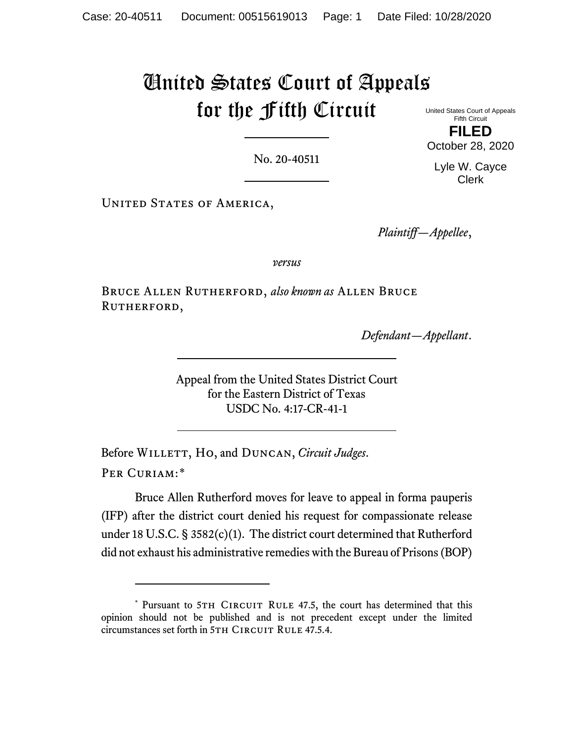## United States Court of Appeals for the Fifth Circuit

United States Court of Appeals Fifth Circuit **FILED**

No. 20-40511

Lyle W. Cayce Clerk

UNITED STATES OF AMERICA,

*Plaintiff—Appellee*,

*versus*

Bruce Allen Rutherford, *also known as* Allen Bruce RUTHERFORD,

*Defendant—Appellant*.

Appeal from the United States District Court for the Eastern District of Texas USDC No. 4:17-CR-41-1

Before WILLETT, Ho, and DUNCAN, *Circuit Judges*. Per Curiam:[\\*](#page-0-0)

Bruce Allen Rutherford moves for leave to appeal in forma pauperis (IFP) after the district court denied his request for compassionate release under 18 U.S.C. § 3582(c)(1). The district court determined that Rutherford did not exhaust his administrative remedies with the Bureau of Prisons (BOP)

October 28, 2020

<span id="page-0-0"></span><sup>\*</sup> Pursuant to 5TH CIRCUIT RULE 47.5, the court has determined that this opinion should not be published and is not precedent except under the limited circumstances set forth in 5TH CIRCUIT RULE 47.5.4.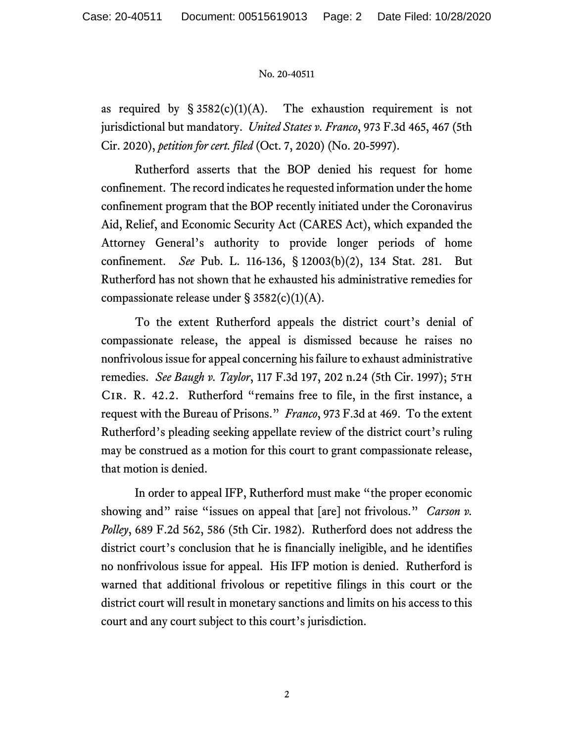## No. 20-40511

as required by  $\S 3582(c)(1)(A)$ . The exhaustion requirement is not jurisdictional but mandatory. *United States v. Franco*, 973 F.3d 465, 467 (5th Cir. 2020), *petition for cert. filed* (Oct. 7, 2020) (No. 20-5997).

Rutherford asserts that the BOP denied his request for home confinement. The record indicates he requested information under the home confinement program that the BOP recently initiated under the Coronavirus Aid, Relief, and Economic Security Act (CARES Act), which expanded the Attorney General's authority to provide longer periods of home confinement. *See* Pub. L. 116-136, § 12003(b)(2), 134 Stat. 281. But Rutherford has not shown that he exhausted his administrative remedies for compassionate release under  $\S$  3582(c)(1)(A).

To the extent Rutherford appeals the district court's denial of compassionate release, the appeal is dismissed because he raises no nonfrivolous issue for appeal concerning his failure to exhaust administrative remedies. *See Baugh v. Taylor*, 117 F.3d 197, 202 n.24 (5th Cir. 1997); 5TH Cir. R. 42.2. Rutherford "remains free to file, in the first instance, a request with the Bureau of Prisons." *Franco*, 973 F.3d at 469. To the extent Rutherford's pleading seeking appellate review of the district court's ruling may be construed as a motion for this court to grant compassionate release, that motion is denied.

In order to appeal IFP, Rutherford must make "the proper economic showing and" raise "issues on appeal that [are] not frivolous." *Carson v. Polley*, 689 F.2d 562, 586 (5th Cir. 1982). Rutherford does not address the district court's conclusion that he is financially ineligible, and he identifies no nonfrivolous issue for appeal. His IFP motion is denied. Rutherford is warned that additional frivolous or repetitive filings in this court or the district court will result in monetary sanctions and limits on his access to this court and any court subject to this court's jurisdiction.